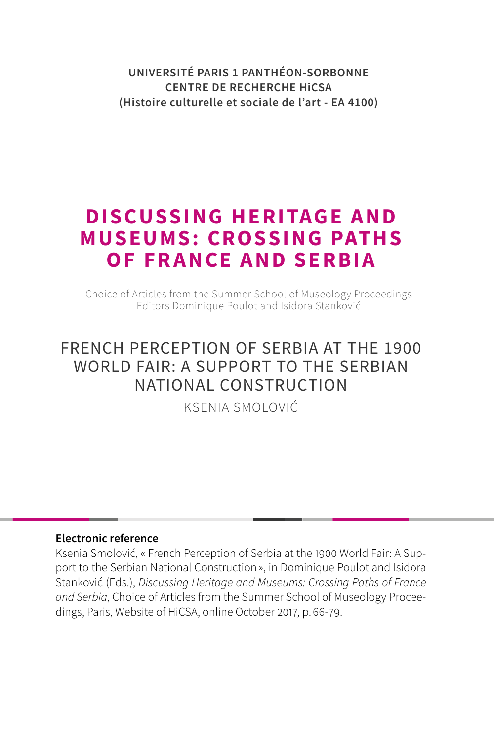**UNIVERSITÉ PARIS 1 PANTHÉON-SORBONNE CENTRE DE RECHERCHE HiCSA (Histoire culturelle et sociale de l'art - EA 4100)**

# **DISCUSSING HERITAGE AND MUSEUMS: CROSSING PATHS OF FRANCE AND SERBIA**

Choice of Articles from the Summer School of Museology Proceedings Editors Dominique Poulot and Isidora Stanković

## FRENCH PERCEPTION OF SERBIA AT THE 1900 WORLD FAIR: A SUPPORT TO THE SERBIAN NATIONAL CONSTRUCTION

[KSENIA SMOLOVIĆ](#page-0-0)

#### **Electronic reference**

<span id="page-0-0"></span>Ksenia Smolović, « French Perception of Serbia at the 1900 World Fair: A Support to the Serbian National Construction », in Dominique Poulot and Isidora Stanković (Eds.), *Discussing Heritage and Museums: Crossing Paths of France and Serbia*, Choice of Articles from the Summer School of Museology Proceedings, Paris, Website of HiCSA, online October 2017, p. 66-79.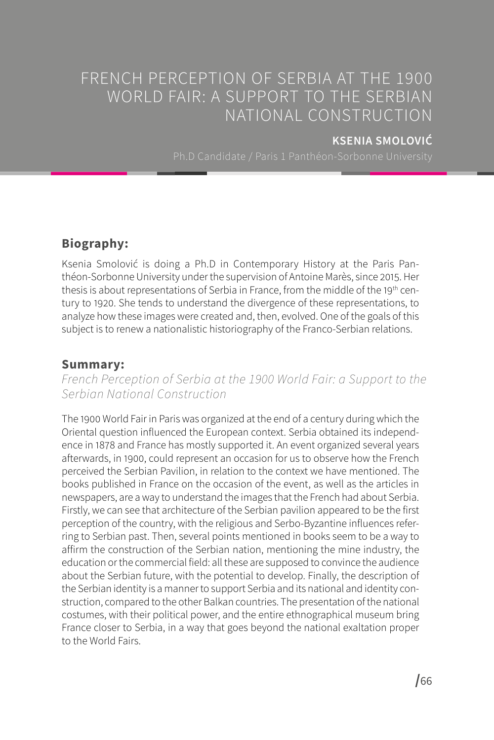## FRENCH PERCEPTION OF SERBIA AT THE 1900 WORLD FAIR: A SUPPORT TO THE SERBIAN NATIONAL CONSTRUCTION

### **KSENIA SMOLOVIĆ**

## **Biography:**

Ksenia Smolović is doing a Ph.D in Contemporary History at the Paris Panthéon-Sorbonne University under the supervision of Antoine Marès, since 2015. Her thesis is about representations of Serbia in France, from the middle of the 19<sup>th</sup> century to 1920. She tends to understand the divergence of these representations, to analyze how these images were created and, then, evolved. One of the goals of this subject is to renew a nationalistic historiography of the Franco-Serbian relations.

## **Summary:**

*French Perception of Serbia at the 1900 World Fair: a Support to the Serbian National Construction*

The 1900 World Fair in Paris was organized at the end of a century during which the Oriental question influenced the European context. Serbia obtained its independence in 1878 and France has mostly supported it. An event organized several years afterwards, in 1900, could represent an occasion for us to observe how the French perceived the Serbian Pavilion, in relation to the context we have mentioned. The books published in France on the occasion of the event, as well as the articles in newspapers, are a way to understand the images that the French had about Serbia. Firstly, we can see that architecture of the Serbian pavilion appeared to be the first perception of the country, with the religious and Serbo-Byzantine influences referring to Serbian past. Then, several points mentioned in books seem to be a way to affirm the construction of the Serbian nation, mentioning the mine industry, the education or the commercial field: all these are supposed to convince the audience about the Serbian future, with the potential to develop. Finally, the description of the Serbian identity is a manner to support Serbia and its national and identity construction, compared to the other Balkan countries. The presentation of the national costumes, with their political power, and the entire ethnographical museum bring France closer to Serbia, in a way that goes beyond the national exaltation proper to the World Fairs.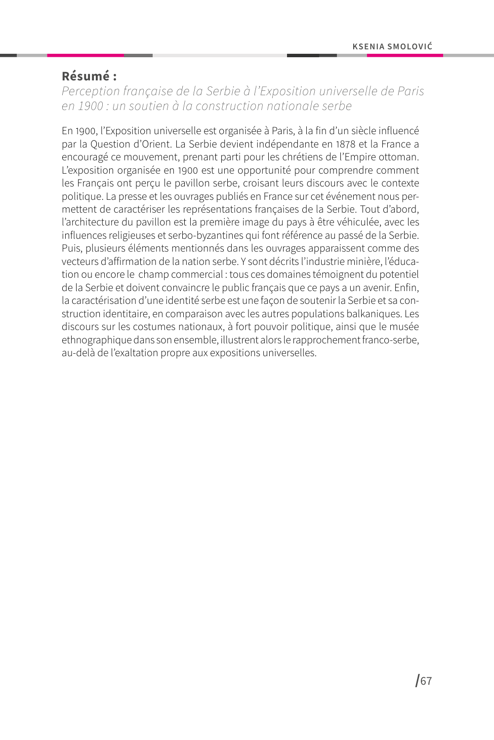## **Résumé :**

*Perception française de la Serbie à l'Exposition universelle de Paris en 1900 : un soutien à la construction nationale serbe*

En 1900, l'Exposition universelle est organisée à Paris, à la fin d'un siècle influencé par la Question d'Orient. La Serbie devient indépendante en 1878 et la France a encouragé ce mouvement, prenant parti pour les chrétiens de l'Empire ottoman. L'exposition organisée en 1900 est une opportunité pour comprendre comment les Français ont perçu le pavillon serbe, croisant leurs discours avec le contexte politique. La presse et les ouvrages publiés en France sur cet événement nous permettent de caractériser les représentations françaises de la Serbie. Tout d'abord, l'architecture du pavillon est la première image du pays à être véhiculée, avec les influences religieuses et serbo-byzantines qui font référence au passé de la Serbie. Puis, plusieurs éléments mentionnés dans les ouvrages apparaissent comme des vecteurs d'affirmation de la nation serbe. Y sont décrits l'industrie minière, l'éducation ou encore le champ commercial : tous ces domaines témoignent du potentiel de la Serbie et doivent convaincre le public français que ce pays a un avenir. Enfin, la caractérisation d'une identité serbe est une façon de soutenir la Serbie et sa construction identitaire, en comparaison avec les autres populations balkaniques. Les discours sur les costumes nationaux, à fort pouvoir politique, ainsi que le musée ethnographique dans son ensemble, illustrent alors le rapprochement franco-serbe, au-delà de l'exaltation propre aux expositions universelles.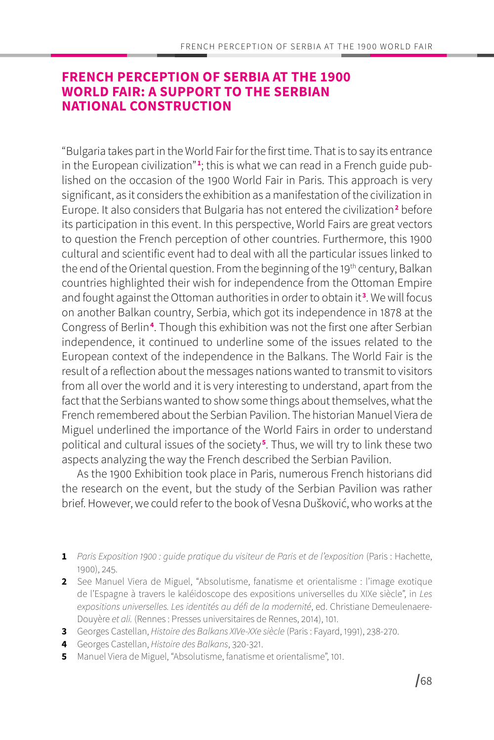## **FRENCH PERCEPTION OF SERBIA AT THE 1900 WORLD FAIR: A SUPPORT TO THE SERBIAN NATIONAL CONSTRUCTION**

"Bulgaria takes part in the World Fair for the first time. That is to say its entrance in the European civilization"<sup>1</sup>; this is what we can read in a French guide published on the occasion of the 1900 World Fair in Paris. This approach is very significant, as it considers the exhibition as a manifestation of the civilization in Europe. It also considers that Bulgaria has not entered the civilization**<sup>2</sup>** before its participation in this event. In this perspective, World Fairs are great vectors to question the French perception of other countries. Furthermore, this 1900 cultural and scientific event had to deal with all the particular issues linked to the end of the Oriental question. From the beginning of the 19<sup>th</sup> century, Balkan countries highlighted their wish for independence from the Ottoman Empire and fought against the Ottoman authorities in order to obtain it**<sup>3</sup>** . We will focus on another Balkan country, Serbia, which got its independence in 1878 at the Congress of Berlin**<sup>4</sup>** . Though this exhibition was not the first one after Serbian independence, it continued to underline some of the issues related to the European context of the independence in the Balkans. The World Fair is the result of a reflection about the messages nations wanted to transmit to visitors from all over the world and it is very interesting to understand, apart from the fact that the Serbians wanted to show some things about themselves, what the French remembered about the Serbian Pavilion. The historian Manuel Viera de Miguel underlined the importance of the World Fairs in order to understand political and cultural issues of the society**<sup>5</sup>** . Thus, we will try to link these two aspects analyzing the way the French described the Serbian Pavilion.

As the 1900 Exhibition took place in Paris, numerous French historians did the research on the event, but the study of the Serbian Pavilion was rather brief. However, we could refer to the book of Vesna Dušković, who works at the

- **1** *Paris Exposition 1900 : guide pratique du visiteur de Paris et de l'exposition* (Paris : Hachette, 1900), 245.
- **2** See Manuel Viera de Miguel, "Absolutisme, fanatisme et orientalisme : l'image exotique de l'Espagne à travers le kaléidoscope des expositions universelles du XIXe siècle", in *Les expositions universelles. Les identités au défi de la modernité*, ed. Christiane Demeulenaere-Douyère *et ali.* (Rennes : Presses universitaires de Rennes, 2014), 101.
- **3** Georges Castellan, *Histoire des Balkans XIVe-XXe siècle* (Paris : Fayard, 1991), 238-270.
- **4** Georges Castellan, *Histoire des Balkans*, 320-321.
- **5** Manuel Viera de Miguel, "Absolutisme, fanatisme et orientalisme", 101.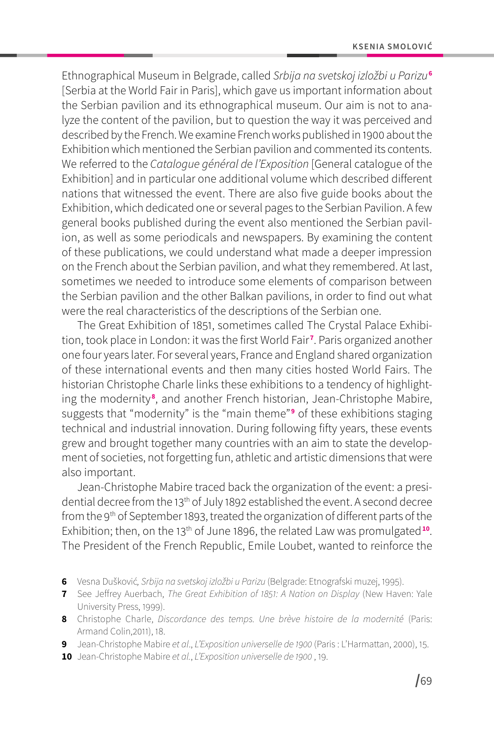Ethnographical Museum in Belgrade, called *Srbija na svetskoj izložbi u Parizu***<sup>6</sup>** [Serbia at the World Fair in Paris], which gave us important information about the Serbian pavilion and its ethnographical museum. Our aim is not to analyze the content of the pavilion, but to question the way it was perceived and described by the French. We examine French works published in 1900 about the Exhibition which mentioned the Serbian pavilion and commented its contents. We referred to the *Catalogue général de l'Exposition* [General catalogue of the Exhibition] and in particular one additional volume which described different nations that witnessed the event. There are also five guide books about the Exhibition, which dedicated one or several pages to the Serbian Pavilion. A few general books published during the event also mentioned the Serbian pavilion, as well as some periodicals and newspapers. By examining the content of these publications, we could understand what made a deeper impression on the French about the Serbian pavilion, and what they remembered. At last, sometimes we needed to introduce some elements of comparison between the Serbian pavilion and the other Balkan pavilions, in order to find out what were the real characteristics of the descriptions of the Serbian one.

The Great Exhibition of 1851, sometimes called The Crystal Palace Exhibition, took place in London: it was the first World Fair**<sup>7</sup>** . Paris organized another one four years later. For several years, France and England shared organization of these international events and then many cities hosted World Fairs. The historian Christophe Charle links these exhibitions to a tendency of highlighting the modernity **<sup>8</sup>** , and another French historian, Jean-Christophe Mabire, suggests that "modernity" is the "main theme"**<sup>9</sup>** of these exhibitions staging technical and industrial innovation. During following fifty years, these events grew and brought together many countries with an aim to state the development of societies, not forgetting fun, athletic and artistic dimensions that were also important.

Jean-Christophe Mabire traced back the organization of the event: a presidential decree from the 13<sup>th</sup> of July 1892 established the event. A second decree from the 9th of September 1893, treated the organization of different parts of the Exhibition; then, on the 13<sup>th</sup> of June 1896, the related Law was promulgated<sup>10</sup>. The President of the French Republic, Emile Loubet, wanted to reinforce the

- **6** Vesna Dušković*, Srbija na svetskoj izložbi u Parizu* (Belgrade: Etnografski muzej, 1995).
- **7** See Jeffrey Auerbach, *The Great Exhibition of 1851: A Nation on Display* (New Haven: Yale University Press, 1999).
- **8** Christophe Charle, *Discordance des temps. Une brève histoire de la modernité* (Paris: Armand Colin,2011), 18.
- **9** Jean-Christophe Mabire *et al*., *L'Exposition universelle de 1900* (Paris : L'Harmattan, 2000), 15.
- **10** Jean-Christophe Mabire *et al.*, *L'Exposition universelle de 1900* , 19.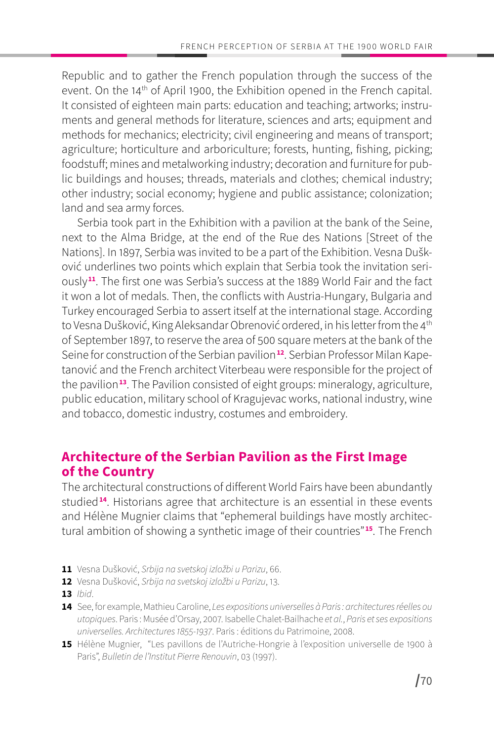Republic and to gather the French population through the success of the event. On the 14<sup>th</sup> of April 1900, the Exhibition opened in the French capital. It consisted of eighteen main parts: education and teaching; artworks; instruments and general methods for literature, sciences and arts; equipment and methods for mechanics; electricity; civil engineering and means of transport; agriculture; horticulture and arboriculture; forests, hunting, fishing, picking; foodstuff; mines and metalworking industry; decoration and furniture for public buildings and houses; threads, materials and clothes; chemical industry; other industry; social economy; hygiene and public assistance; colonization; land and sea army forces.

Serbia took part in the Exhibition with a pavilion at the bank of the Seine, next to the Alma Bridge, at the end of the Rue des Nations [Street of the Nations]. In 1897, Serbia was invited to be a part of the Exhibition. Vesna Dušković underlines two points which explain that Serbia took the invitation seriously**<sup>11</sup>**. The first one was Serbia's success at the 1889 World Fair and the fact it won a lot of medals. Then, the conflicts with Austria-Hungary, Bulgaria and Turkey encouraged Serbia to assert itself at the international stage. According to Vesna Dušković, King Aleksandar Obrenović ordered, in his letter from the 4<sup>th</sup> of September 1897, to reserve the area of 500 square meters at the bank of the Seine for construction of the Serbian pavilion**12**. Serbian Professor Milan Kapetanović and the French architect Viterbeau were responsible for the project of the pavilion**<sup>13</sup>**. The Pavilion consisted of eight groups: mineralogy, agriculture, public education, military school of Kragujevac works, national industry, wine and tobacco, domestic industry, costumes and embroidery.

## **Architecture of the Serbian Pavilion as the First Image of the Country**

The architectural constructions of different World Fairs have been abundantly studied**<sup>14</sup>**. Historians agree that architecture is an essential in these events and Hélène Mugnier claims that "ephemeral buildings have mostly architectural ambition of showing a synthetic image of their countries"**<sup>15</sup>**. The French

- **11** Vesna Dušković, *Srbija na svetskoj izložbi u Parizu*, 66.
- **12** Vesna Dušković, *Srbija na svetskoj izložbi u Parizu*, 13.
- **13** *Ibid*.
- **14** See, for example, Mathieu Caroline, *Les expositions universelles à Paris : architectures réelles ou utopiques*. Paris : Musée d'Orsay, 2007. Isabelle Chalet-Bailhache *et al.*, *Paris et ses expositions universelles. Architectures 1855-1937*. Paris : éditions du Patrimoine, 2008.
- **15** Hélène Mugnier, "Les pavillons de l'Autriche-Hongrie à l'exposition universelle de 1900 à Paris", *Bulletin de l'Institut Pierre Renouvin*, 03 (1997).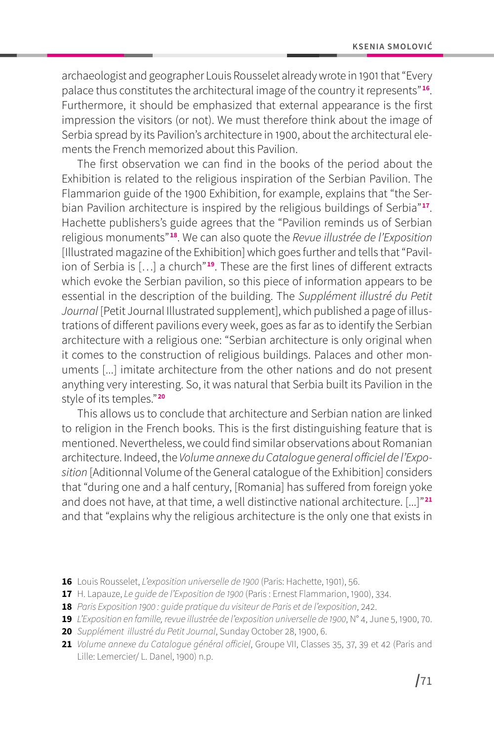archaeologist and geographer Louis Rousselet already wrote in 1901 that "Every palace thus constitutes the architectural image of the country it represents"**<sup>16</sup>**. Furthermore, it should be emphasized that external appearance is the first impression the visitors (or not). We must therefore think about the image of Serbia spread by its Pavilion's architecture in 1900, about the architectural elements the French memorized about this Pavilion.

The first observation we can find in the books of the period about the Exhibition is related to the religious inspiration of the Serbian Pavilion. The Flammarion guide of the 1900 Exhibition, for example, explains that "the Serbian Pavilion architecture is inspired by the religious buildings of Serbia"**<sup>17</sup>**. Hachette publishers's guide agrees that the "Pavilion reminds us of Serbian religious monuments"**<sup>18</sup>**. We can also quote the *Revue illustrée de l'Exposition* [Illustrated magazine of the Exhibition] which goes further and tells that "Pavilion of Serbia is […] a church"**<sup>19</sup>**. These are the first lines of different extracts which evoke the Serbian pavilion, so this piece of information appears to be essential in the description of the building. The *Supplément illustré du Petit Journal* [Petit Journal Illustrated supplement], which published a page of illustrations of different pavilions every week, goes as far as to identify the Serbian architecture with a religious one: "Serbian architecture is only original when it comes to the construction of religious buildings. Palaces and other monuments [...] imitate architecture from the other nations and do not present anything very interesting. So, it was natural that Serbia built its Pavilion in the style of its temples."**<sup>20</sup>**

This allows us to conclude that architecture and Serbian nation are linked to religion in the French books. This is the first distinguishing feature that is mentioned. Nevertheless, we could find similar observations about Romanian architecture. Indeed, the *Volume annexe du Catalogue general officiel de l'Exposition* [Aditionnal Volume of the General catalogue of the Exhibition] considers that "during one and a half century, [Romania] has suffered from foreign yoke and does not have, at that time, a well distinctive national architecture. [...]"**<sup>21</sup>** and that "explains why the religious architecture is the only one that exists in

- **16** Louis Rousselet, *L'exposition universelle de 1900* (Paris: Hachette, 1901), 56.
- **17** H. Lapauze, *Le guide de l'Exposition de 1900* (Paris : Ernest Flammarion, 1900), 334.
- **18** *Paris Exposition 1900 : guide pratique du visiteur de Paris et de l'exposition*, 242.
- **19** *L'Exposition en famille, revue illustrée de l'exposition universelle de 1900*, N° 4, June 5, 1900, 70.
- **20** *Supplément illustré du Petit Journal*, Sunday October 28, 1900, 6.
- **21** *Volume annexe du Catalogue général officiel*, Groupe VII, Classes 35, 37, 39 et 42 (Paris and Lille: Lemercier/ L. Danel, 1900) n.p.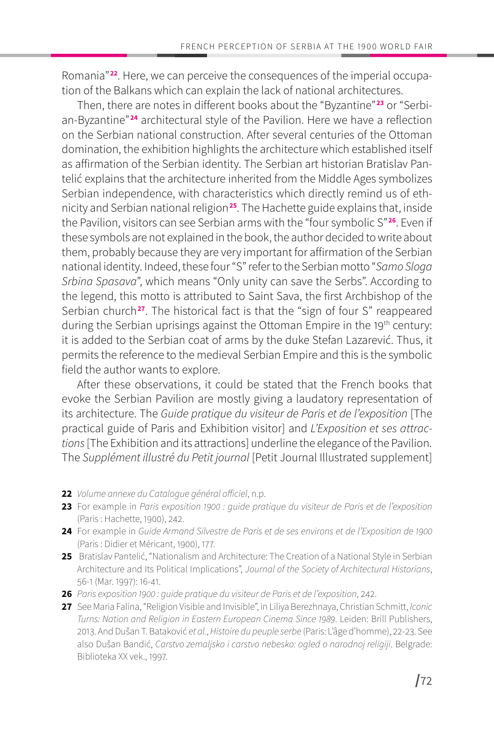Romania"**22**. Here, we can perceive the consequences of the imperial occupation of the Balkans which can explain the lack of national architectures.

Then, there are notes in different books about the "Byzantine"**23** or "Serbian-Byzantine" **<sup>24</sup>** architectural style of the Pavilion. Here we have a reflection on the Serbian national construction. After several centuries of the Ottoman domination, the exhibition highlights the architecture which established itself as affirmation of the Serbian identity. The Serbian art historian Bratislav Pantelić explains that the architecture inherited from the Middle Ages symbolizes Serbian independence, with characteristics which directly remind us of ethnicity and Serbian national religion**<sup>25</sup>**. The Hachette guide explains that, inside the Pavilion, visitors can see Serbian arms with the "four symbolic S"**<sup>26</sup>**. Even if these symbols are not explained in the book, the author decided to write about them, probably because they are very important for affirmation of the Serbian national identity. Indeed, these four "S" refer to the Serbian motto "*Samo Sloga Srbina Spasava*", which means "Only unity can save the Serbs". According to the legend, this motto is attributed to Saint Sava, the first Archbishop of the Serbian church**<sup>27</sup>**. The historical fact is that the "sign of four S" reappeared during the Serbian uprisings against the Ottoman Empire in the 19<sup>th</sup> century: it is added to the Serbian coat of arms by the duke Stefan Lazarević. Thus, it permits the reference to the medieval Serbian Empire and this is the symbolic field the author wants to explore.

After these observations, it could be stated that the French books that evoke the Serbian Pavilion are mostly giving a laudatory representation of its architecture. The *Guide pratique du visiteur de Paris et de l'exposition* [The practical guide of Paris and Exhibition visitor] and *L'Exposition et ses attractions* [The Exhibition and its attractions] underline the elegance of the Pavilion. The *Supplément illustré du Petit journal* [Petit Journal Illustrated supplement]

- **22** *Volume annexe du Catalogue général officiel*, n.p.
- **23** For example in *Paris exposition 1900 : guide pratique du visiteur de Paris et de l'exposition* (Paris : Hachette, 1900), 242.
- **24** For example in *Guide Armand Silvestre de Paris et de ses environs et de l'Exposition de 1900* (Paris : Didier et Méricant, 1900), 177.
- 25 Bratislav Pantelić, "Nationalism and Architecture: The Creation of a National Style in Serbian Architecture and Its Political Implications", *Journal of the Society of Architectural Historians*, 56-1 (Mar. 1997): 16-41.
- **26** *Paris exposition 1900 : guide pratique du visiteur de Paris et de l'exposition*, 242.
- **27** See Maria Falina, "Religion Visible and Invisible", in Liliya Berezhnaya, Christian Schmitt, *Iconic Turns: Nation and Religion in Eastern European Cinema Since 1989*. Leiden: Brill Publishers, 2013. And Dušan T. Bataković *et al.*, *Histoire du peuple serbe* (Paris: L'âge d'homme), 22-23. See also Dušan Bandić, *Carstvo zemaljsko i carstvo nebesko: ogled o narodnoj religiji*. Belgrade: Biblioteka XX vek., 1997.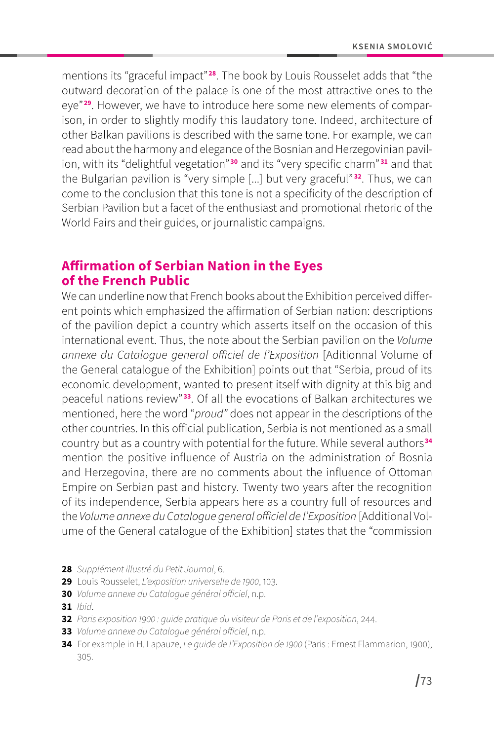mentions its "graceful impact"**<sup>28</sup>**. The book by Louis Rousselet adds that "the outward decoration of the palace is one of the most attractive ones to the eye"**29**. However, we have to introduce here some new elements of comparison, in order to slightly modify this laudatory tone. Indeed, architecture of other Balkan pavilions is described with the same tone. For example, we can read about the harmony and elegance of the Bosnian and Herzegovinian pavilion, with its "delightful vegetation" **<sup>30</sup>** and its "very specific charm" **<sup>31</sup>** and that the Bulgarian pavilion is "very simple [...] but very graceful" **<sup>32</sup>**. Thus, we can come to the conclusion that this tone is not a specificity of the description of Serbian Pavilion but a facet of the enthusiast and promotional rhetoric of the World Fairs and their guides, or journalistic campaigns.

## **Affirmation of Serbian Nation in the Eyes of the French Public**

We can underline now that French books about the Exhibition perceived different points which emphasized the affirmation of Serbian nation: descriptions of the pavilion depict a country which asserts itself on the occasion of this international event. Thus, the note about the Serbian pavilion on the *Volume annexe du Catalogue general officiel de l'Exposition* [Aditionnal Volume of the General catalogue of the Exhibition] points out that "Serbia, proud of its economic development, wanted to present itself with dignity at this big and peaceful nations review" **<sup>33</sup>**. Of all the evocations of Balkan architectures we mentioned, here the word "*proud"* does not appear in the descriptions of the other countries. In this official publication, Serbia is not mentioned as a small country but as a country with potential for the future. While several authors**<sup>34</sup>** mention the positive influence of Austria on the administration of Bosnia and Herzegovina, there are no comments about the influence of Ottoman Empire on Serbian past and history. Twenty two years after the recognition of its independence, Serbia appears here as a country full of resources and the *Volume annexe du Catalogue general officiel de l'Exposition* [Additional Volume of the General catalogue of the Exhibition] states that the "commission

- **28** *Supplément illustré du Petit Journal*, 6.
- **29** Louis Rousselet, *L'exposition universelle de 1900*, 103.
- **30** *Volume annexe du Catalogue général officiel*, n.p.
- **31** *Ibid*.
- **32** *Paris exposition 1900 : guide pratique du visiteur de Paris et de l'exposition*, 244.
- **33** *Volume annexe du Catalogue général officiel*, n.p.
- **34** For example in H. Lapauze, *Le guide de l'Exposition de 1900* (Paris : Ernest Flammarion, 1900), 305.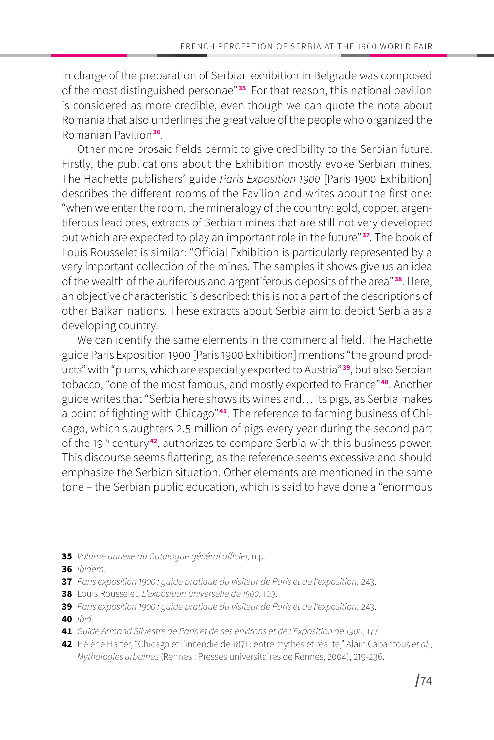in charge of the preparation of Serbian exhibition in Belgrade was composed of the most distinguished personae"**<sup>35</sup>**. For that reason, this national pavilion is considered as more credible, even though we can quote the note about Romania that also underlines the great value of the people who organized the Romanian Pavilion**<sup>36</sup>**.

Other more prosaic fields permit to give credibility to the Serbian future. Firstly, the publications about the Exhibition mostly evoke Serbian mines. The Hachette publishers' guide *Paris Exposition 1900* [Paris 1900 Exhibition] describes the different rooms of the Pavilion and writes about the first one: "when we enter the room, the mineralogy of the country: gold, copper, argentiferous lead ores, extracts of Serbian mines that are still not very developed but which are expected to play an important role in the future"**<sup>37</sup>**. The book of Louis Rousselet is similar: "Official Exhibition is particularly represented by a very important collection of the mines. The samples it shows give us an idea of the wealth of the auriferous and argentiferous deposits of the area"**<sup>38</sup>**. Here, an objective characteristic is described: this is not a part of the descriptions of other Balkan nations. These extracts about Serbia aim to depict Serbia as a developing country.

We can identify the same elements in the commercial field. The Hachette guide Paris Exposition 1900 [Paris 1900 Exhibition] mentions "the ground products" with "plums, which are especially exported to Austria"**<sup>39</sup>**, but also Serbian tobacco, "one of the most famous, and mostly exported to France"**<sup>40</sup>**. Another guide writes that "Serbia here shows its wines and… its pigs, as Serbia makes a point of fighting with Chicago"**41**. The reference to farming business of Chicago, which slaughters 2.5 million of pigs every year during the second part of the 19th century**<sup>42</sup>**, authorizes to compare Serbia with this business power. This discourse seems flattering, as the reference seems excessive and should emphasize the Serbian situation. Other elements are mentioned in the same tone – the Serbian public education, which is said to have done a "enormous

- **35** *Volume annexe du Catalogue général officiel*, n.p.
- **36** *Ibidem.*
- **37** *Paris exposition 1900 : guide pratique du visiteur de Paris et de l'exposition*, 243.
- **38** Louis Rousselet, *L'exposition universelle de 1900*, 103.
- **39** *Paris exposition 1900 : guide pratique du visiteur de Paris et de l'exposition*, 243.

**40** *Ibid*.

- **41** *Guide Armand Silvestre de Paris et de ses environs et de l'Exposition de 1900*, 177.
- **42** Hélène Harter, "Chicago et l'incendie de 1871 : entre mythes et réalité," Alain Cabantous *et al.*, *Mythologies urbaines* (Rennes : Presses universitaires de Rennes, 2004), 219-236.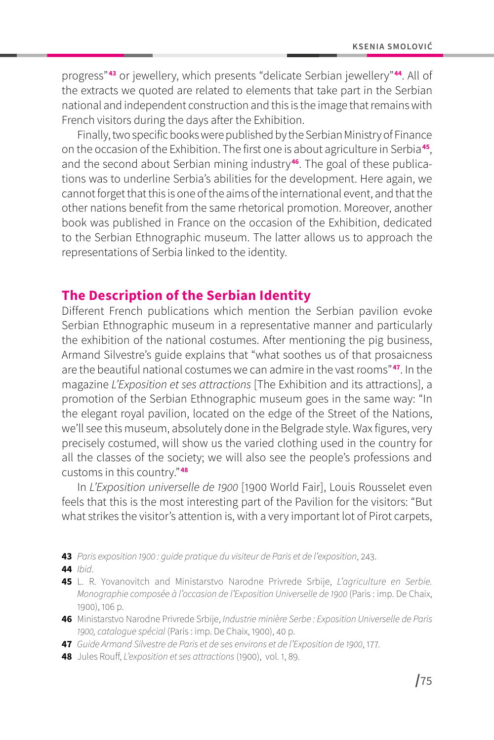progress"**<sup>43</sup>** or jewellery, which presents "delicate Serbian jewellery"**<sup>44</sup>**. All of the extracts we quoted are related to elements that take part in the Serbian national and independent construction and this is the image that remains with French visitors during the days after the Exhibition.

Finally, two specific books were published by the Serbian Ministry of Finance on the occasion of the Exhibition. The first one is about agriculture in Serbia**<sup>45</sup>**, and the second about Serbian mining industry**46**. The goal of these publications was to underline Serbia's abilities for the development. Here again, we cannot forget that this is one of the aims of the international event, and that the other nations benefit from the same rhetorical promotion. Moreover, another book was published in France on the occasion of the Exhibition, dedicated to the Serbian Ethnographic museum. The latter allows us to approach the representations of Serbia linked to the identity.

#### **The Description of the Serbian Identity**

Different French publications which mention the Serbian pavilion evoke Serbian Ethnographic museum in a representative manner and particularly the exhibition of the national costumes. After mentioning the pig business, Armand Silvestre's guide explains that "what soothes us of that prosaicness are the beautiful national costumes we can admire in the vast rooms"**<sup>47</sup>**. In the magazine *L'Exposition et ses attractions* [The Exhibition and its attractions], a promotion of the Serbian Ethnographic museum goes in the same way: "In the elegant royal pavilion, located on the edge of the Street of the Nations, we'll see this museum, absolutely done in the Belgrade style. Wax figures, very precisely costumed, will show us the varied clothing used in the country for all the classes of the society; we will also see the people's professions and customs in this country."**<sup>48</sup>**

In *L'Exposition universelle de 1900* [1900 World Fair], Louis Rousselet even feels that this is the most interesting part of the Pavilion for the visitors: "But what strikes the visitor's attention is, with a very important lot of Pirot carpets,

- **43** *Paris exposition 1900 : guide pratique du visiteur de Paris et de l'exposition*, 243.
- **44** *Ibid*.
- **45** L. R. Yovanovitch and Ministarstvo Narodne Privrede Srbije, *L'agriculture en Serbie. Monographie composée à l'occasion de l'Exposition Universelle de 1900* (Paris : imp. De Chaix, 1900), 106 p.
- **46** Ministarstvo Narodne Privrede Srbije, *Industrie minière Serbe : Exposition Universelle de Paris 1900, catalogue spécial* (Paris : imp. De Chaix, 1900), 40 p.
- **47** *Guide Armand Silvestre de Paris et de ses environs et de l'Exposition de 1900*, 177.
- **48** Jules Rouff, *L'exposition et ses attractions* (1900), vol. 1, 89.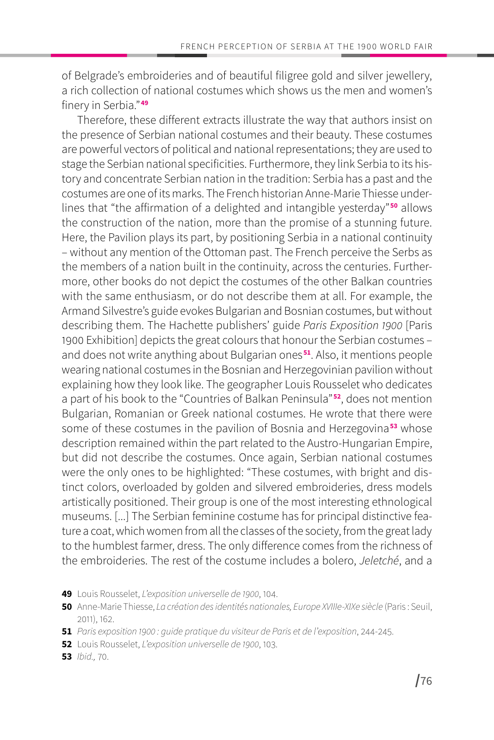of Belgrade's embroideries and of beautiful filigree gold and silver jewellery, a rich collection of national costumes which shows us the men and women's finery in Serbia."**<sup>49</sup>**

Therefore, these different extracts illustrate the way that authors insist on the presence of Serbian national costumes and their beauty. These costumes are powerful vectors of political and national representations; they are used to stage the Serbian national specificities. Furthermore, they link Serbia to its history and concentrate Serbian nation in the tradition: Serbia has a past and the costumes are one of its marks. The French historian Anne-Marie Thiesse underlines that "the affirmation of a delighted and intangible yesterday"**<sup>50</sup>** allows the construction of the nation, more than the promise of a stunning future. Here, the Pavilion plays its part, by positioning Serbia in a national continuity – without any mention of the Ottoman past. The French perceive the Serbs as the members of a nation built in the continuity, across the centuries. Furthermore, other books do not depict the costumes of the other Balkan countries with the same enthusiasm, or do not describe them at all. For example, the Armand Silvestre's guide evokes Bulgarian and Bosnian costumes, but without describing them. The Hachette publishers' guide *Paris Exposition 1900* [Paris 1900 Exhibition] depicts the great colours that honour the Serbian costumes – and does not write anything about Bulgarian ones**<sup>51</sup>**. Also, it mentions people wearing national costumes in the Bosnian and Herzegovinian pavilion without explaining how they look like. The geographer Louis Rousselet who dedicates a part of his book to the "Countries of Balkan Peninsula"**<sup>52</sup>**, does not mention Bulgarian, Romanian or Greek national costumes. He wrote that there were some of these costumes in the pavilion of Bosnia and Herzegovina**<sup>53</sup>** whose description remained within the part related to the Austro-Hungarian Empire, but did not describe the costumes. Once again, Serbian national costumes were the only ones to be highlighted: "These costumes, with bright and distinct colors, overloaded by golden and silvered embroideries, dress models artistically positioned. Their group is one of the most interesting ethnological museums. [...] The Serbian feminine costume has for principal distinctive feature a coat, which women from all the classes of the society, from the great lady to the humblest farmer, dress. The only difference comes from the richness of the embroideries. The rest of the costume includes a bolero, *Jeletché*, and a

**53** *Ibid.,* 70.

**<sup>49</sup>** Louis Rousselet, *L'exposition universelle de 1900*, 104.

**<sup>50</sup>** Anne-Marie Thiesse, *La création des identités nationales, Europe XVIIIe-XIXe siècle* (Paris : Seuil, 2011), 162.

**<sup>51</sup>** *Paris exposition 1900 : guide pratique du visiteur de Paris et de l'exposition*, 244-245.

**<sup>52</sup>** Louis Rousselet, *L'exposition universelle de 1900*, 103.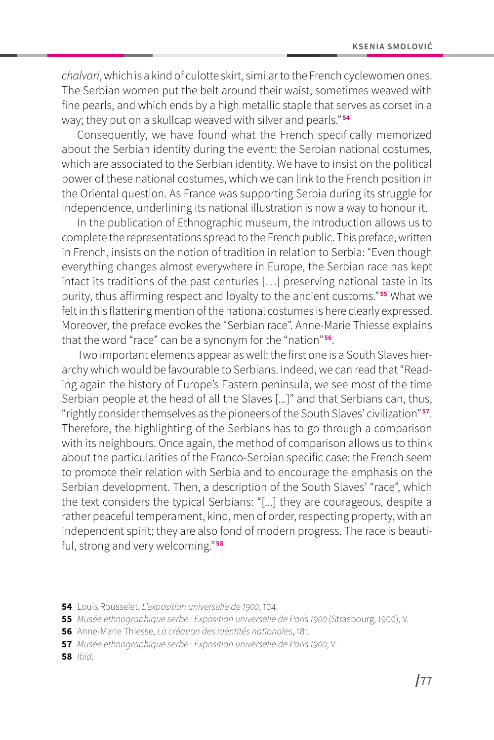*chalvari*, which is a kind of culotte skirt, similar to the French cyclewomen ones. The Serbian women put the belt around their waist, sometimes weaved with fine pearls, and which ends by a high metallic staple that serves as corset in a way; they put on a skullcap weaved with silver and pearls."**<sup>54</sup>**

Consequently, we have found what the French specifically memorized about the Serbian identity during the event: the Serbian national costumes, which are associated to the Serbian identity. We have to insist on the political power of these national costumes, which we can link to the French position in the Oriental question. As France was supporting Serbia during its struggle for independence, underlining its national illustration is now a way to honour it.

In the publication of Ethnographic museum, the Introduction allows us to complete the representations spread to the French public. This preface, written in French, insists on the notion of tradition in relation to Serbia: "Even though everything changes almost everywhere in Europe, the Serbian race has kept intact its traditions of the past centuries […] preserving national taste in its purity, thus affirming respect and loyalty to the ancient customs."**<sup>55</sup>** What we felt in this flattering mention of the national costumes is here clearly expressed. Moreover, the preface evokes the "Serbian race". Anne-Marie Thiesse explains that the word "race" can be a synonym for the "nation"**<sup>56</sup>**.

Two important elements appear as well: the first one is a South Slaves hierarchy which would be favourable to Serbians. Indeed, we can read that "Reading again the history of Europe's Eastern peninsula, we see most of the time Serbian people at the head of all the Slaves [...]" and that Serbians can, thus, "rightly consider themselves as the pioneers of the South Slaves' civilization"**<sup>57</sup>**. Therefore, the highlighting of the Serbians has to go through a comparison with its neighbours. Once again, the method of comparison allows us to think about the particularities of the Franco-Serbian specific case: the French seem to promote their relation with Serbia and to encourage the emphasis on the Serbian development. Then, a description of the South Slaves' "race", which the text considers the typical Serbians: "[...] they are courageous, despite a rather peaceful temperament, kind, men of order, respecting property, with an independent spirit; they are also fond of modern progress. The race is beautiful, strong and very welcoming."**<sup>58</sup>**

**58** *Ibid*.

**<sup>54</sup>** Louis Rousselet, *L'exposition universelle de 1900*, 104.

**<sup>55</sup>** *Musée ethnographique serbe : Exposition universelle de Paris 1900* (Strasbourg, 1900), V.

**<sup>56</sup>** Anne-Marie Thiesse, *La création des identités nationales*, 181.

**<sup>57</sup>** *Musée ethnographique serbe : Exposition universelle de Paris 1900*, V.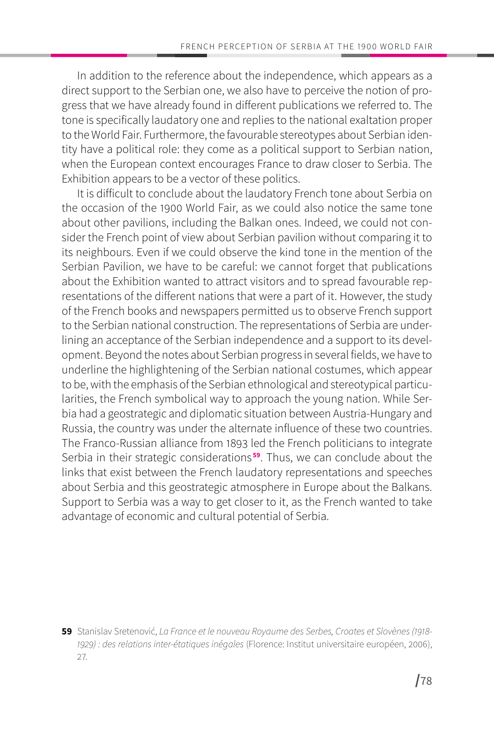In addition to the reference about the independence, which appears as a direct support to the Serbian one, we also have to perceive the notion of progress that we have already found in different publications we referred to. The tone is specifically laudatory one and replies to the national exaltation proper to the World Fair. Furthermore, the favourable stereotypes about Serbian identity have a political role: they come as a political support to Serbian nation, when the European context encourages France to draw closer to Serbia. The Exhibition appears to be a vector of these politics.

It is difficult to conclude about the laudatory French tone about Serbia on the occasion of the 1900 World Fair, as we could also notice the same tone about other pavilions, including the Balkan ones. Indeed, we could not consider the French point of view about Serbian pavilion without comparing it to its neighbours. Even if we could observe the kind tone in the mention of the Serbian Pavilion, we have to be careful: we cannot forget that publications about the Exhibition wanted to attract visitors and to spread favourable representations of the different nations that were a part of it. However, the study of the French books and newspapers permitted us to observe French support to the Serbian national construction. The representations of Serbia are underlining an acceptance of the Serbian independence and a support to its development. Beyond the notes about Serbian progress in several fields, we have to underline the highlightening of the Serbian national costumes, which appear to be, with the emphasis of the Serbian ethnological and stereotypical particularities, the French symbolical way to approach the young nation. While Serbia had a geostrategic and diplomatic situation between Austria-Hungary and Russia, the country was under the alternate influence of these two countries. The Franco-Russian alliance from 1893 led the French politicians to integrate Serbia in their strategic considerations **<sup>59</sup>**. Thus, we can conclude about the links that exist between the French laudatory representations and speeches about Serbia and this geostrategic atmosphere in Europe about the Balkans. Support to Serbia was a way to get closer to it, as the French wanted to take advantage of economic and cultural potential of Serbia.

**<sup>59</sup>** Stanislav Sretenović, *La France et le nouveau Royaume des Serbes, Croates et Slovènes (1918- 1929) : des relations inter-étatiques inégales* (Florence: Institut universitaire européen, 2006), 27.